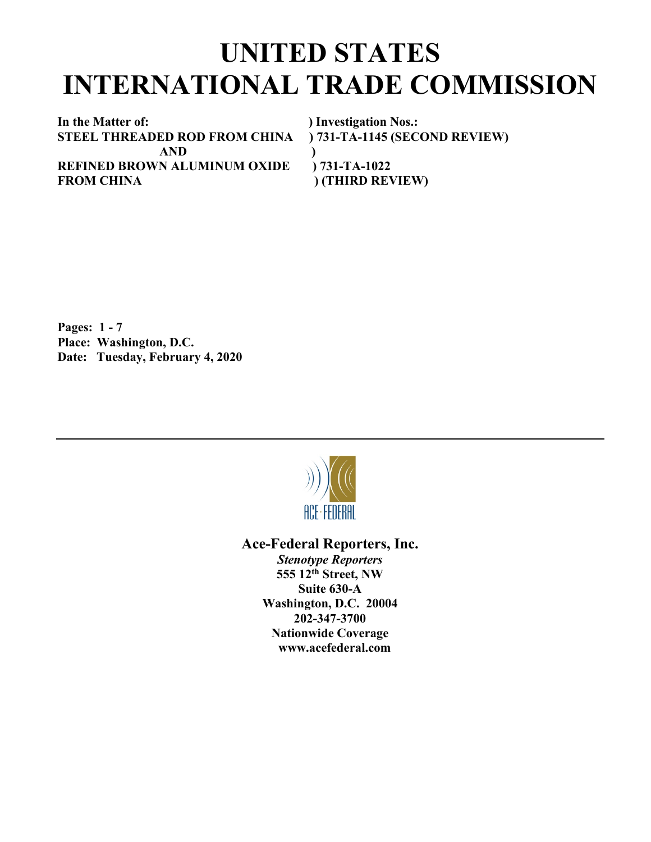## **UNITED STATES INTERNATIONAL TRADE COMMISSION**

**In the Matter of:** ) Investigation Nos.:<br> **STEEL THREADED ROD FROM CHINA** ) 731-TA-1145 (SECOND REVIEW) **STEEL THREADED ROD FROM CHINA AND ) REFINED BROWN ALUMINUM OXIDE ) 731-TA-1022** FROM CHINA  $(THIRD REVIEW)$ 

**Pages: 1 - 7 Place: Washington, D.C. Date: Tuesday, February 4, 2020**



**Ace-Federal Reporters, Inc.** *Stenotype Reporters* **555 12th Street, NW Suite 630-A Washington, D.C. 20004 202-347-3700 Nationwide Coverage www.acefederal.com**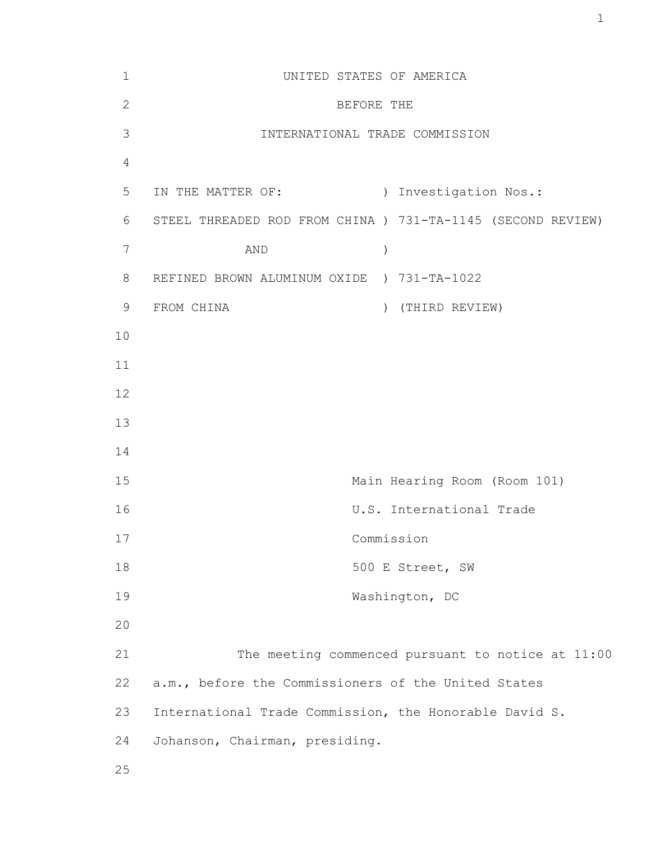| $\mathbf 1$    | UNITED STATES OF AMERICA                                    |
|----------------|-------------------------------------------------------------|
| $\overline{2}$ | BEFORE THE                                                  |
| 3              | INTERNATIONAL TRADE COMMISSION                              |
| $\overline{4}$ |                                                             |
| 5              | ) Investigation Nos.:<br>IN THE MATTER OF:                  |
| 6              | STEEL THREADED ROD FROM CHINA ) 731-TA-1145 (SECOND REVIEW) |
| $7\phantom{.}$ | $\big)$<br>AND                                              |
| 8              | REFINED BROWN ALUMINUM OXIDE ) 731-TA-1022                  |
| 9              | FROM CHINA<br>(THIRD REVIEW)<br>$\lambda$                   |
| 10             |                                                             |
| 11             |                                                             |
| 12             |                                                             |
| 13             |                                                             |
| 14             |                                                             |
| 15             | Main Hearing Room (Room 101)                                |
| 16             | U.S. International Trade                                    |
| 17             | Commission                                                  |
| 18             | 500 E Street, SW                                            |
| 19             | Washington, DC                                              |
| 20             |                                                             |
| 21             | The meeting commenced pursuant to notice at 11:00           |
| 22             | a.m., before the Commissioners of the United States         |
| 23             | International Trade Commission, the Honorable David S.      |
| 24             | Johanson, Chairman, presiding.                              |
| 25             |                                                             |

1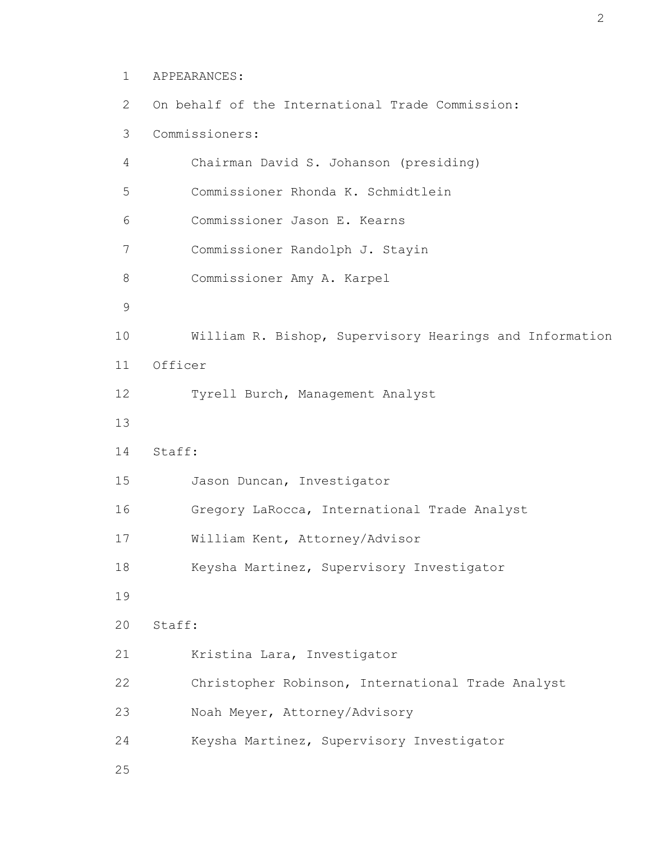```
 1 APPEARANCES:
```

```
 2 On behalf of the International Trade Commission:
        3 Commissioners:
        4 Chairman David S. Johanson (presiding)
        5 Commissioner Rhonda K. Schmidtlein
        6 Commissioner Jason E. Kearns
        7 Commissioner Randolph J. Stayin
        8 Commissioner Amy A. Karpel
9 
       10 William R. Bishop, Supervisory Hearings and Information
       11 Officer
       12 Tyrell Burch, Management Analyst
       13 
       14 Staff:
       15 Jason Duncan, Investigator
       16 Gregory LaRocca, International Trade Analyst
       17 William Kent, Attorney/Advisor
       18 Keysha Martinez, Supervisory Investigator
       19 
       20 Staff:
       21 Kristina Lara, Investigator
       22 Christopher Robinson, International Trade Analyst
       23 Noah Meyer, Attorney/Advisory
       24 Keysha Martinez, Supervisory Investigator
       25
```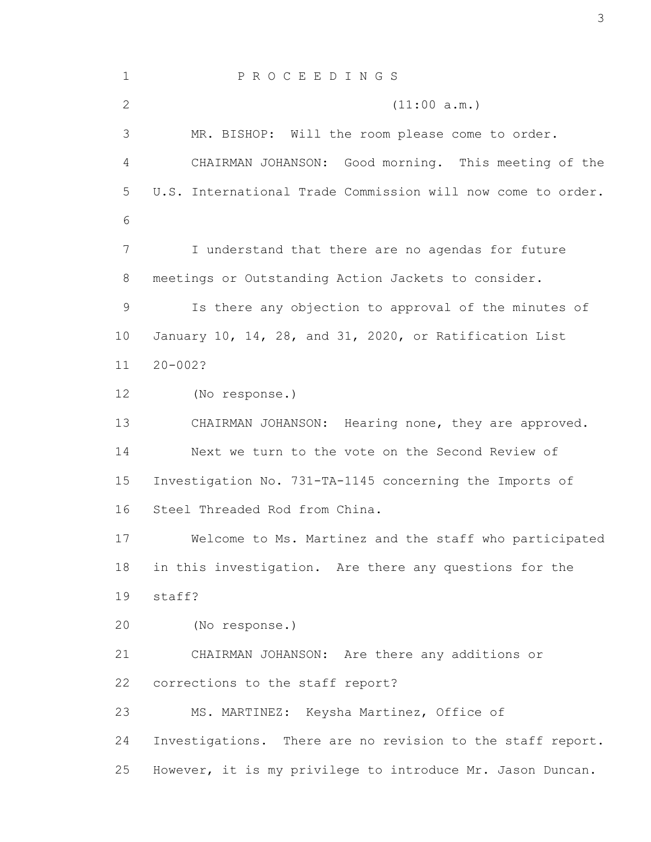1 P R O C E E D I N G S 2 (11:00 a.m.) 3 MR. BISHOP: Will the room please come to order. 4 CHAIRMAN JOHANSON: Good morning. This meeting of the 5 U.S. International Trade Commission will now come to order. 6 7 I understand that there are no agendas for future 8 meetings or Outstanding Action Jackets to consider. 9 Is there any objection to approval of the minutes of 10 January 10, 14, 28, and 31, 2020, or Ratification List 11 20-002? 12 (No response.) 13 CHAIRMAN JOHANSON: Hearing none, they are approved. 14 Next we turn to the vote on the Second Review of 15 Investigation No. 731-TA-1145 concerning the Imports of 16 Steel Threaded Rod from China. 17 Welcome to Ms. Martinez and the staff who participated 18 in this investigation. Are there any questions for the 19 staff? 20 (No response.) 21 CHAIRMAN JOHANSON: Are there any additions or 22 corrections to the staff report? 23 MS. MARTINEZ: Keysha Martinez, Office of 24 Investigations. There are no revision to the staff report. 25 However, it is my privilege to introduce Mr. Jason Duncan.

3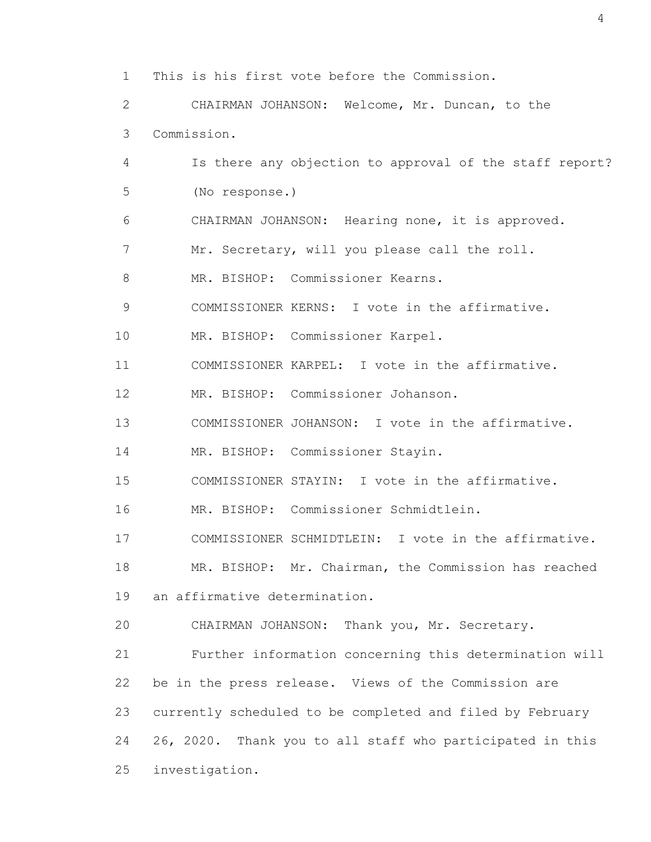1 This is his first vote before the Commission.

 2 CHAIRMAN JOHANSON: Welcome, Mr. Duncan, to the 3 Commission.

 4 Is there any objection to approval of the staff report? 5 (No response.) 6 CHAIRMAN JOHANSON: Hearing none, it is approved. 7 Mr. Secretary, will you please call the roll. 8 MR. BISHOP: Commissioner Kearns. 9 COMMISSIONER KERNS: I vote in the affirmative. 10 MR. BISHOP: Commissioner Karpel. 11 COMMISSIONER KARPEL: I vote in the affirmative. 12 MR. BISHOP: Commissioner Johanson. 13 COMMISSIONER JOHANSON: I vote in the affirmative. 14 MR. BISHOP: Commissioner Stayin. 15 COMMISSIONER STAYIN: I vote in the affirmative. 16 MR. BISHOP: Commissioner Schmidtlein. 17 COMMISSIONER SCHMIDTLEIN: I vote in the affirmative. 18 MR. BISHOP: Mr. Chairman, the Commission has reached 19 an affirmative determination. 20 CHAIRMAN JOHANSON: Thank you, Mr. Secretary.

 21 Further information concerning this determination will 22 be in the press release. Views of the Commission are 23 currently scheduled to be completed and filed by February 24 26, 2020. Thank you to all staff who participated in this 25 investigation.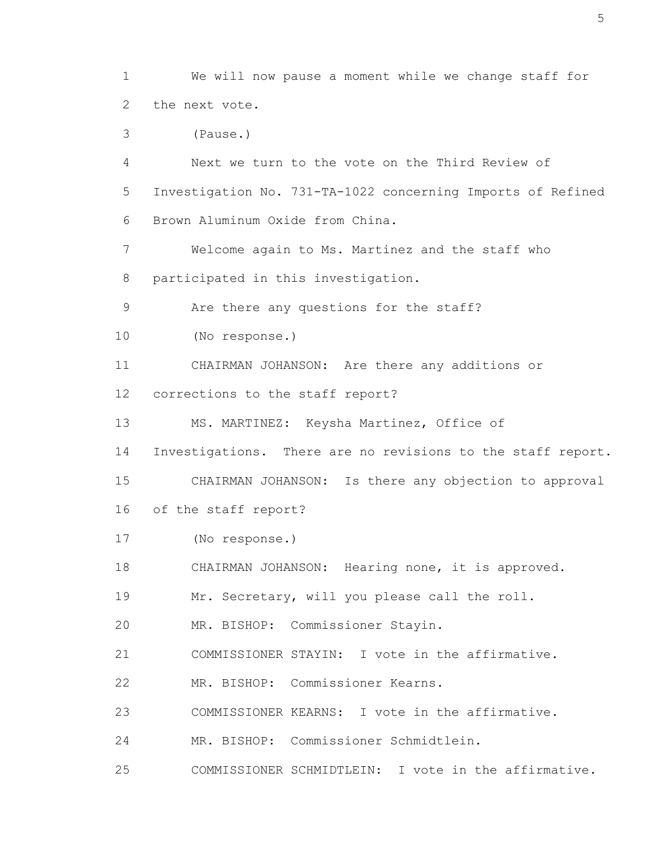1 We will now pause a moment while we change staff for 2 the next vote.

3 (Pause.)

 4 Next we turn to the vote on the Third Review of 5 Investigation No. 731-TA-1022 concerning Imports of Refined 6 Brown Aluminum Oxide from China.

 7 Welcome again to Ms. Martinez and the staff who 8 participated in this investigation.

9 Are there any questions for the staff?

10 (No response.)

 11 CHAIRMAN JOHANSON: Are there any additions or 12 corrections to the staff report?

13 MS. MARTINEZ: Keysha Martinez, Office of

14 Investigations. There are no revisions to the staff report.

15 CHAIRMAN JOHANSON: Is there any objection to approval

16 of the staff report?

17 (No response.)

18 CHAIRMAN JOHANSON: Hearing none, it is approved.

19 Mr. Secretary, will you please call the roll.

20 MR. BISHOP: Commissioner Stayin.

21 COMMISSIONER STAYIN: I vote in the affirmative.

22 MR. BISHOP: Commissioner Kearns.

23 COMMISSIONER KEARNS: I vote in the affirmative.

24 MR. BISHOP: Commissioner Schmidtlein.

25 COMMISSIONER SCHMIDTLEIN: I vote in the affirmative.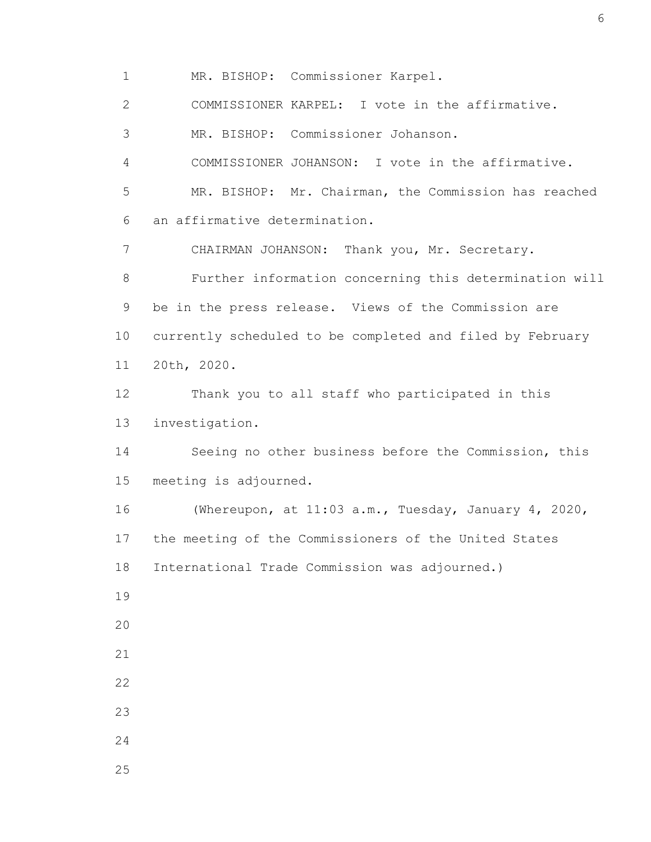1 MR. BISHOP: Commissioner Karpel. 2 COMMISSIONER KARPEL: I vote in the affirmative. 3 MR. BISHOP: Commissioner Johanson. 4 COMMISSIONER JOHANSON: I vote in the affirmative. 5 MR. BISHOP: Mr. Chairman, the Commission has reached 6 an affirmative determination. 7 CHAIRMAN JOHANSON: Thank you, Mr. Secretary. 8 Further information concerning this determination will 9 be in the press release. Views of the Commission are 10 currently scheduled to be completed and filed by February 11 20th, 2020. 12 Thank you to all staff who participated in this 13 investigation. 14 Seeing no other business before the Commission, this 15 meeting is adjourned. 16 (Whereupon, at 11:03 a.m., Tuesday, January 4, 2020, 17 the meeting of the Commissioners of the United States 18 International Trade Commission was adjourned.) 19 20 21 22 23 24 25

6